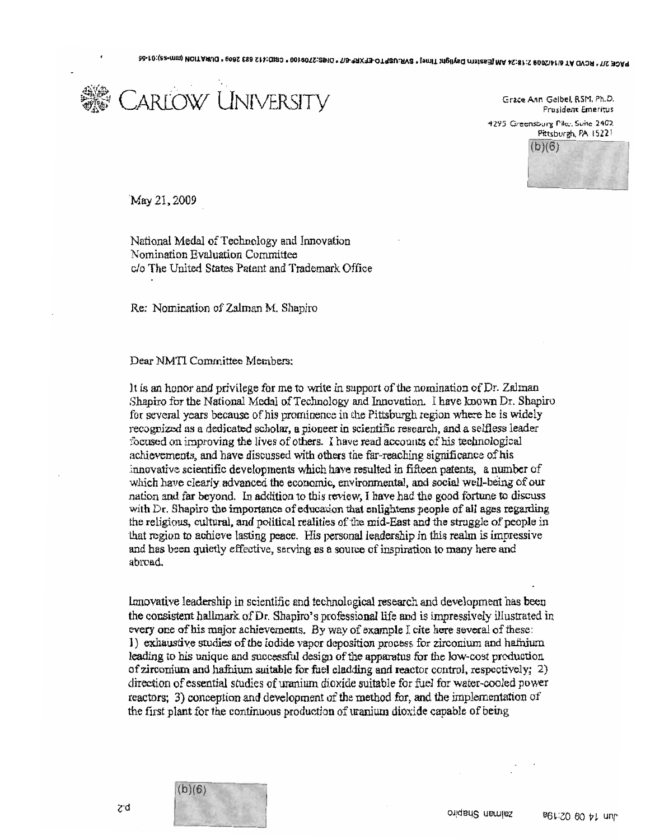

Grace Ann Gelbel, RSM, Ph.D. President Emeritus 4295 Greensburg Pike, Suite 2402. Pittsburgh, PA 15221  $(b)(6)$ i<br>Ind

'May 21. 2009

National Medal of Technology and Innovation Nomination Evaluation Committee c/o The United States Patent and Trademark Office

Re: Nomination of Zalman M. Shapiro

Dear NMTI Committee Members:

It is an honor and privilege for me to write in support of the nomination of Dr. Zalman Shapiro for the National Medal of Technology and Innovation. I have known Dr. Shapiro for several years because of his prominence in the Pittsburgh region where he is widely recognized as a dedicated scholar, a pioneer in scientific research, and a selfless leader focused on improving the lives of others. I have read accounts of his technological achievements, and have discussed with others the far-reaching significance of his jnnovative scientific developments which have resulted in fifteen patents, a number of which have clearly advanced the economic, environmental, and social well-being of our nation and far beyond. In. addition to this review, I have had the good fortune to discuss with Dr. Shapiro the importance of education that enlightens people of all ages regarding the religious, cultural, and political realities of·the mid~East and the struggle of people in that region to achieve lasting peace. His personal leadership in this realm is impressive and has been quietly effective, serving as a source of inspiration to many here and abroad..

Innovative leadership in scientific and technological research and developmenl has been the consistent hallmark of Dr. Shapiro's professional life and is impressively illustrated in every one of his major achievements. By way of example I cite here several of these: ]) exhaustive studies ofthe iodide vapor deposition process for zirconium and hafnium leading to his unique and successful design of the apparatus for the low~cost production of zirconium and hafnium suitable for fuel cladding and reactor control. respectively; 2) direction of essential studies of uranium dioxide suitable for fuel for water-cooled power reactors; 3) conception and development of the method for, and the implementation of the first plant for the continuous production of uranium dioxide capable of being